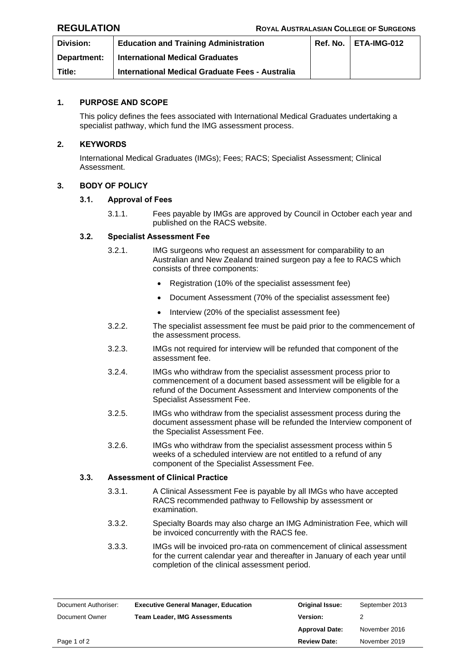| <b>Division:</b> | <b>Education and Training Administration</b>    | $Ref. No.   ETA-IMG-012$ |
|------------------|-------------------------------------------------|--------------------------|
| Department:      | <b>International Medical Graduates</b>          |                          |
| Title:           | International Medical Graduate Fees - Australia |                          |

# **1. PURPOSE AND SCOPE**

This policy defines the fees associated with International Medical Graduates undertaking a specialist pathway, which fund the IMG assessment process.

## **2. KEYWORDS**

International Medical Graduates (IMGs); Fees; RACS; Specialist Assessment; Clinical Assessment.

# **3. BODY OF POLICY**

## **3.1. Approval of Fees**

3.1.1. Fees payable by IMGs are approved by Council in October each year and published on the RACS website.

## **3.2. Specialist Assessment Fee**

- 3.2.1. IMG surgeons who request an assessment for comparability to an Australian and New Zealand trained surgeon pay a fee to RACS which consists of three components:
	- Registration (10% of the specialist assessment fee)
	- Document Assessment (70% of the specialist assessment fee)
	- Interview (20% of the specialist assessment fee)
- 3.2.2. The specialist assessment fee must be paid prior to the commencement of the assessment process.
- 3.2.3. IMGs not required for interview will be refunded that component of the assessment fee.
- 3.2.4. IMGs who withdraw from the specialist assessment process prior to commencement of a document based assessment will be eligible for a refund of the Document Assessment and Interview components of the Specialist Assessment Fee.
- 3.2.5. IMGs who withdraw from the specialist assessment process during the document assessment phase will be refunded the Interview component of the Specialist Assessment Fee.
- 3.2.6. IMGs who withdraw from the specialist assessment process within 5 weeks of a scheduled interview are not entitled to a refund of any component of the Specialist Assessment Fee.

## **3.3. Assessment of Clinical Practice**

- 3.3.1. A Clinical Assessment Fee is payable by all IMGs who have accepted RACS recommended pathway to Fellowship by assessment or examination.
- 3.3.2. Specialty Boards may also charge an IMG Administration Fee, which will be invoiced concurrently with the RACS fee.
- 3.3.3. IMGs will be invoiced pro-rata on commencement of clinical assessment for the current calendar year and thereafter in January of each year until completion of the clinical assessment period.

| Document Authoriser: | <b>Executive General Manager, Education</b> | <b>Original Issue:</b> | September 2013 |
|----------------------|---------------------------------------------|------------------------|----------------|
| Document Owner       | <b>Team Leader, IMG Assessments</b>         | Version:               |                |
|                      |                                             | <b>Approval Date:</b>  | November 2016  |
| Page 1 of 2          |                                             | <b>Review Date:</b>    | November 2019  |